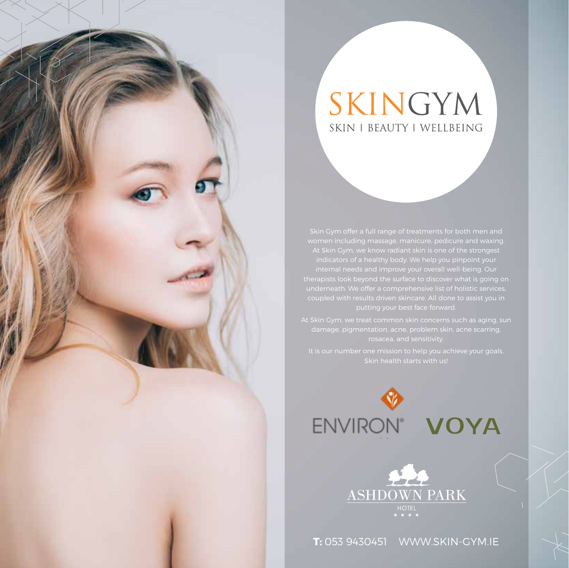# SKINGYM SKIN | BEAUTY | WELLBEING





**T:** 053 9430451 WWW.SKIN-GYM.IE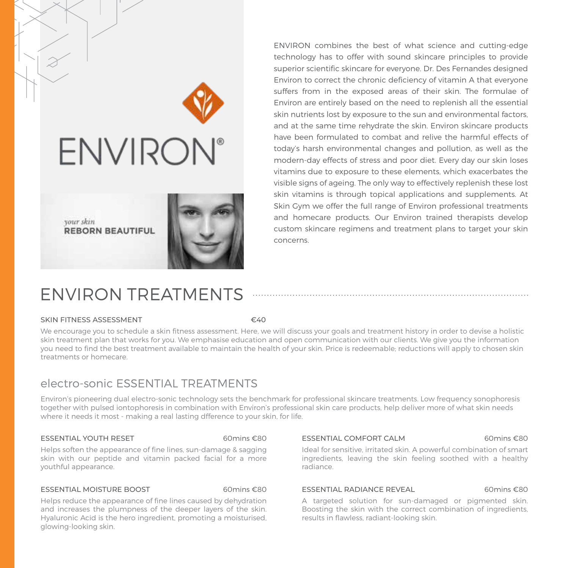

ENVIRON combines the best of what science and cutting-edge technology has to offer with sound skincare principles to provide superior scientific skincare for everyone. Dr. Des Fernandes designed Environ to correct the chronic deficiency of vitamin A that everyone suffers from in the exposed areas of their skin. The formulae of Environ are entirely based on the need to replenish all the essential skin nutrients lost by exposure to the sun and environmental factors, and at the same time rehydrate the skin. Environ skincare products have been formulated to combat and relive the harmful effects of today's harsh environmental changes and pollution, as well as the modern-day effects of stress and poor diet. Every day our skin loses vitamins due to exposure to these elements, which exacerbates the visible signs of ageing. The only way to effectively replenish these lost skin vitamins is through topical applications and supplements. At Skin Gym we offer the full range of Environ professional treatments and homecare products. Our Environ trained therapists develop custom skincare regimens and treatment plans to target your skin concerns.

# ENVIRON TREATMENTS

#### SKIN FITNESS ASSESSMENT <del>€40</del>

We encourage you to schedule a skin fitness assessment. Here, we will discuss your goals and treatment history in order to devise a holistic skin treatment plan that works for you. We emphasise education and open communication with our clients. We give you the information you need to find the best treatment available to maintain the health of your skin. Price is redeemable; reductions will apply to chosen skin treatments or homecare.

## electro-sonic ESSENTIAL TREATMENTS

Environ's pioneering dual electro-sonic technology sets the benchmark for professional skincare treatments. Low frequency sonophoresis together with pulsed iontophoresis in combination with Environ's professional skin care products, help deliver more of what skin needs where it needs it most - making a real lasting dfference to your skin, for life.

#### ESSENTIAL YOUTH RESET60mins €80

Helps soften the appearance of fine lines, sun-damage & sagging skin with our peptide and vitamin packed facial for a more youthful appearance.

### ESSENTIAL MOISTURE BOOST 60mins €80

Helps reduce the appearance of fine lines caused by dehydration and increases the plumpness of the deeper layers of the skin. Hyaluronic Acid is the hero ingredient, promoting a moisturised, glowing-looking skin.

#### ESSENTIAL COMFORT CALM 60mins €80

Ideal for sensitive, irritated skin. A powerful combination of smart ingredients, leaving the skin feeling soothed with a healthy radiance.

#### ESSENTIAL RADIANCE REVEAL 60mins €80

A targeted solution for sun-damaged or pigmented skin. Boosting the skin with the correct combination of ingredients, results in flawless, radiant-looking skin.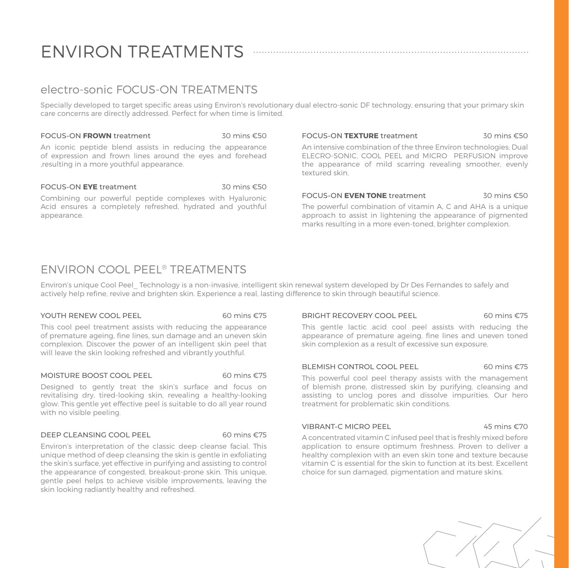# ENVIRON TREATMENTS

## electro-sonic FOCUS-ON TREATMENTS

Specially developed to target specific areas using Environ's revolutionary dual electro-sonic DF technology, ensuring that your primary skin care concerns are directly addressed. Perfect for when time is limited.

#### FOCUS-ON **FROWN** treatment 30 mins £50

An iconic peptide blend assists in reducing the appearance of expression and frown lines around the eyes and forehead ,resulting in a more youthful appearance.

#### FOCUS-ON **EYE** treatment 30 mins €50

Combining our powerful peptide complexes with Hyaluronic Acid ensures a completely refreshed, hydrated and youthful appearance.

#### FOCUS-ON **TEXTURE** treatment 30 mins €50

An intensive combination of the three Environ technologies; Dual ELECRO-SONIC, COOL PEEL and MICRO PERFUSION improve the appearance of mild scarring revealing smoother, evenly textured skin.

#### FOCUS-ON **EVEN TONE** treatment 30 mins €50

The powerful combination of vitamin A, C and AHA is a unique approach to assist in lightening the appearance of pigmented marks resulting in a more even-toned, brighter complexion.

## ENVIRON COOL PEEL® TREATMENTS

Environ's unique Cool Peel\_ Technology is a non-invasive, intelligent skin renewal system developed by Dr Des Fernandes to safely and actively help refine, revive and brighten skin. Experience a real, lasting difference to skin through beautiful science.

#### YOUTH RENEW COOL PEEL 60 mins €75

This cool peel treatment assists with reducing the appearance of premature ageing, fine lines, sun damage and an uneven skin complexion. Discover the power of an intelligent skin peel that will leave the skin looking refreshed and vibrantly youthful.

#### MOISTURE BOOST COOL PEEL 60 mins €75

Designed to gently treat the skin's surface and focus on revitalising dry, tired-looking skin, revealing a healthy-looking glow. This gentle yet effective peel is suitable to do all year round with no visible peeling.

#### DEEP CLEANSING COOL PEEL 60 mins €75

Environ's interpretation of the classic deep cleanse facial. This unique method of deep cleansing the skin is gentle in exfoliating the skin's surface, yet effective in purifying and assisting to control the appearance of congested, breakout-prone skin. This unique, gentle peel helps to achieve visible improvements, leaving the skin looking radiantly healthy and refreshed.

#### BRIGHT RECOVERY COOL PEEL 60 mins €75

This gentle lactic acid cool peel assists with reducing the appearance of premature ageing, fine lines and uneven toned skin complexion as a result of excessive sun exposure.

### BLEMISH CONTROL COOL PEEL 60 mins €75

This powerful cool peel therapy assists with the management of blemish prone, distressed skin by purifying, cleansing and assisting to unclog pores and dissolve impurities. Our hero treatment for problematic skin conditions.

#### VIBRANT-C MICRO PEEL 45 mins €70

A concentrated vitamin C infused peel that is freshly mixed before application to ensure optimum freshness. Proven to deliver a healthy complexion with an even skin tone and texture because vitamin C is essential for the skin to function at its best. Excellent choice for sun damaged, pigmentation and mature skins.

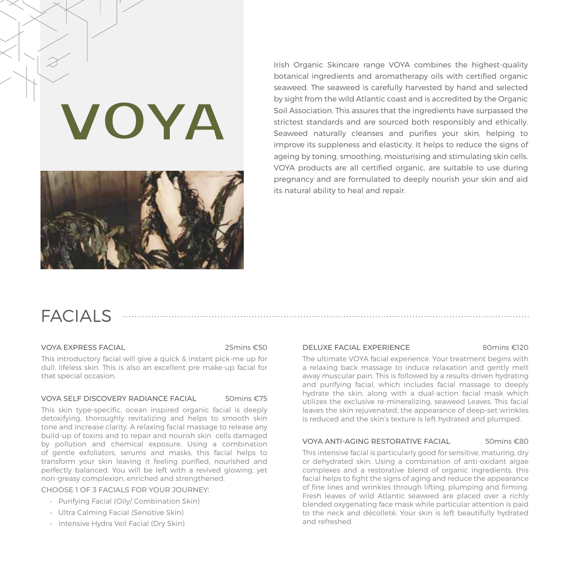# VOYA



Irish Organic Skincare range VOYA combines the highest-quality botanical ingredients and aromatherapy oils with certified organic seaweed. The seaweed is carefully harvested by hand and selected by sight from the wild Atlantic coast and is accredited by the Organic Soil Association. This assures that the ingredients have surpassed the strictest standards and are sourced both responsibly and ethically. Seaweed naturally cleanses and purifies your skin, helping to improve its suppleness and elasticity. It helps to reduce the signs of ageing by toning, smoothing, moisturising and stimulating skin cells. VOYA products are all certified organic, are suitable to use during pregnancy and are formulated to deeply nourish your skin and aid its natural ability to heal and repair.

## FACIAL<sub>S</sub>

#### VOYA EXPRESS FACIAL25mins €50

This introductory facial will give a quick & instant pick-me up for dull, lifeless skin. This is also an excellent pre make-up facial for that special occasion.

#### VOYA SELF DISCOVERY RADIANCE FACIAL 50mins €75

This skin type-specific, ocean inspired organic facial is deeply detoxifying, thoroughly revitalizing and helps to smooth skin tone and increase clarity. A relaxing facial massage to release any build-up of toxins and to repair and nourish skin cells damaged by pollution and chemical exposure. Using a combination of gentle exfoliators, serums and masks, this facial helps to transform your skin leaving it feeling purified, nourished and perfectly balanced. You will be left with a revived glowing, yet non-greasy complexion, enriched and strengthened.

CHOOSE 1 OF 3 FACIALS FOR YOUR JOURNEY:

- Purifying Facial (Oily/ Combination Skin)
- Ultra Calming Facial (Sensitive Skin)
- Intensive Hydra Veil Facial (Dry Skin)

#### DELUXE FACIAL EXPERIENCE80mins €120

The ultimate VOYA facial experience. Your treatment begins with a relaxing back massage to induce relaxation and gently melt away muscular pain. This is followed by a results-driven hydrating and purifying facial, which includes facial massage to deeply hydrate the skin, along with a dual-action facial mask which utilizes the exclusive re-mineralizing, seaweed Leaves. This facial leaves the skin rejuvenated, the appearance of deep-set wrinkles is reduced and the skin's texture is left hydrated and plumped.

#### VOYA ANTI-AGING RESTORATIVE FACIAL 50mins €80

This intensive facial is particularly good for sensitive, maturing, dry or dehydrated skin. Using a combination of anti-oxidant algae complexes and a restorative blend of organic ingredients, this facial helps to fight the signs of aging and reduce the appearance of fine lines and wrinkles through lifting, plumping and firming. Fresh leaves of wild Atlantic seaweed are placed over a richly blended oxygenating face mask while particular attention is paid to the neck and décolleté. Your skin is left beautifully hydrated and refreshed.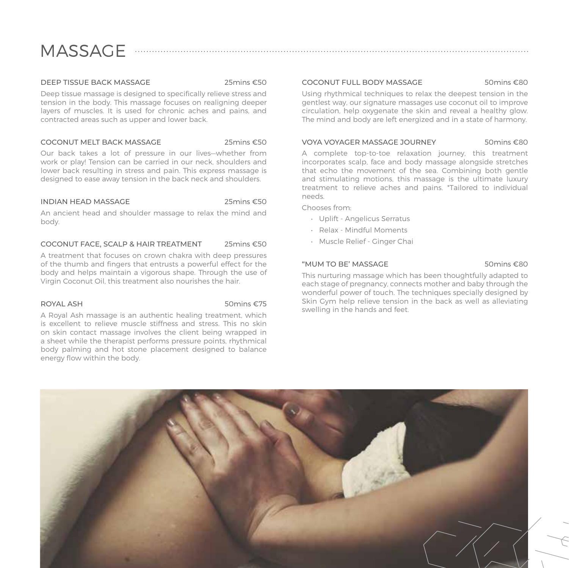# MASSAGE ......

#### DEEP TISSUE BACK MASSAGE25mins €50

Deep tissue massage is designed to specifically relieve stress and tension in the body. This massage focuses on realigning deeper layers of muscles. It is used for chronic aches and pains, and contracted areas such as upper and lower back.

#### COCONUT MELT BACK MASSAGE 25mins €50

Our back takes a lot of pressure in our lives—whether from work or play! Tension can be carried in our neck, shoulders and lower back resulting in stress and pain. This express massage is designed to ease away tension in the back neck and shoulders.

#### INDIAN HEAD MASSAGE25mins €50

An ancient head and shoulder massage to relax the mind and body.

#### COCONUT FACE, SCALP & HAIR TREATMENT 25mins €50

A treatment that focuses on crown chakra with deep pressures of the thumb and fingers that entrusts a powerful effect for the body and helps maintain a vigorous shape. Through the use of Virgin Coconut Oil, this treatment also nourishes the hair.

#### ROYAL ASH 50mins €75

A Royal Ash massage is an authentic healing treatment, which is excellent to relieve muscle stiffness and stress. This no skin on skin contact massage involves the client being wrapped in a sheet while the therapist performs pressure points, rhythmical body palming and hot stone placement designed to balance energy flow within the body.

#### COCONUT FULL BODY MASSAGE 50mins €80

Using rhythmical techniques to relax the deepest tension in the gentlest way, our signature massages use coconut oil to improve circulation, help oxygenate the skin and reveal a healthy glow. The mind and body are left energized and in a state of harmony.

#### VOYA VOYAGER MASSAGE JOURNEY 50mins €80

A complete top-to-toe relaxation journey, this treatment incorporates scalp, face and body massage alongside stretches that echo the movement of the sea. Combining both gentle and stimulating motions, this massage is the ultimate luxury treatment to relieve aches and pains. \*Tailored to individual needs.

Chooses from:

- Uplift Angelicus Serratus
- Relax Mindful Moments
- Muscle Relief Ginger Chai

### "MUM TO BE' MASSAGE 50mins €80

This nurturing massage which has been thoughtfully adapted to each stage of pregnancy, connects mother and baby through the wonderful power of touch. The techniques specially designed by Skin Gym help relieve tension in the back as well as alleviating swelling in the hands and feet.

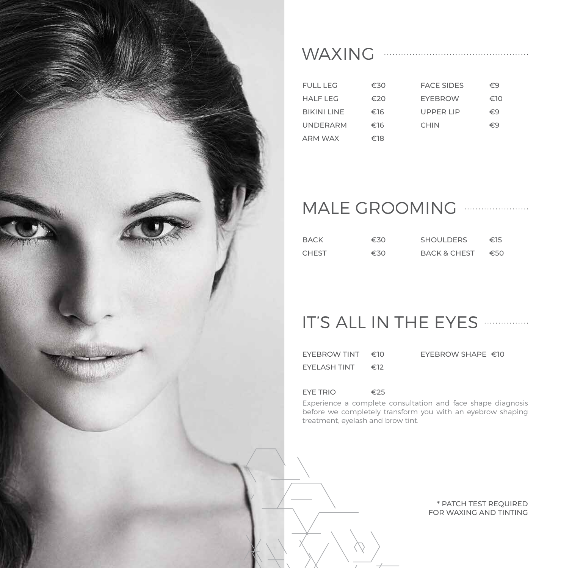

## WAXING

| FULL LEG           | €30 | <b>FACE SIDES</b> | €9  |
|--------------------|-----|-------------------|-----|
| HAIFIFG            | €20 | <b>FYFRROW</b>    | €10 |
| <b>BIKINI LINE</b> | €16 | UPPFRIIP          | €9  |
| <b>UNDERARM</b>    | €16 | <b>CHIN</b>       | €9  |
| ARM WAX            | €18 |                   |     |

# MALE GROOMING

| BACK         | €30 | <b>SHOULDERS</b> | €15 |
|--------------|-----|------------------|-----|
| <b>CHEST</b> | €30 | BACK & CHEST     | €50 |

# IT'S ALL IN THE EYES ...............

| EYEBROW TINT  | €10 | EYEBROW SHAPE $\in$ 10 |  |
|---------------|-----|------------------------|--|
| FYFI ASH TINT | €12 |                        |  |

## EYE TRIO €25

Experience a complete consultation and face shape diagnosis before we completely transform you with an eyebrow shaping treatment, eyelash and brow tint.

> \* PATCH TEST REQUIRED FOR WAXING AND TINTING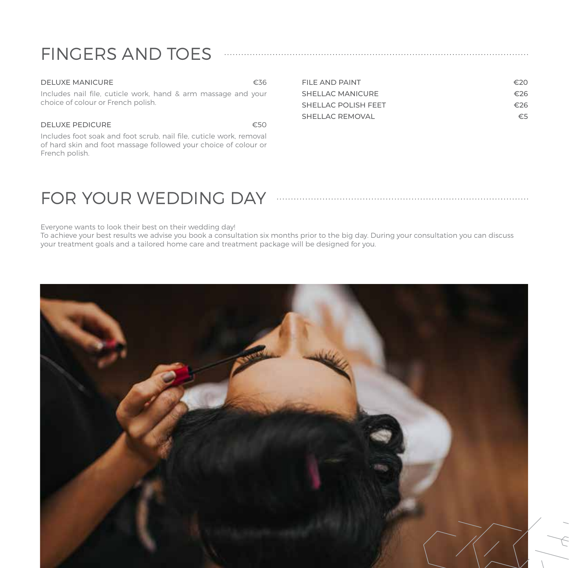# FINGERS AND TOES

| <b>DELUXE MANICURE</b>                                                                                                                                   | €36 | FILE AND PAINT          | €20 |
|----------------------------------------------------------------------------------------------------------------------------------------------------------|-----|-------------------------|-----|
| Includes nail file, cuticle work, hand & arm massage and your                                                                                            |     | <b>SHELLAC MANICURE</b> | €26 |
| choice of colour or French polish.                                                                                                                       |     | SHELLAC POLISH FEET     | €26 |
|                                                                                                                                                          |     | SHELLAC REMOVAL         | €5  |
| <b>DELUXE PEDICURE</b>                                                                                                                                   | €50 |                         |     |
| Includes foot soak and foot scrub, nail file, cuticle work, removal<br>of hard skin and foot massage followed your choice of colour or<br>French polish. |     |                         |     |

# FOR YOUR WEDDING DAY **And CONDUCTER** FOR YOUR WEDDING DAY

## Everyone wants to look their best on their wedding day!

To achieve your best results we advise you book a consultation six months prior to the big day. During your consultation you can discuss your treatment goals and a tailored home care and treatment package will be designed for you.

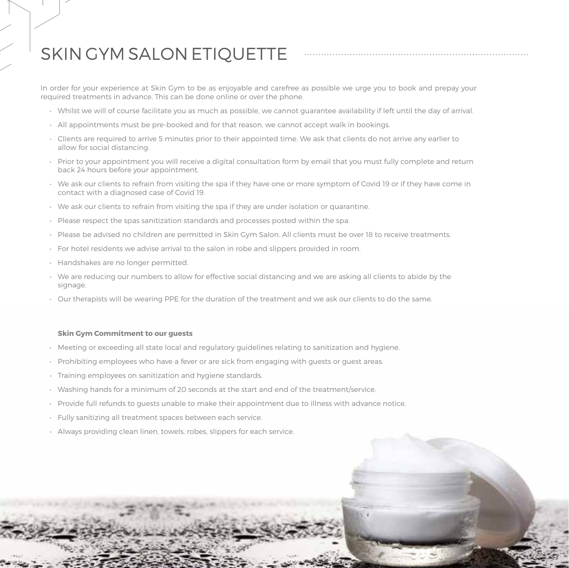# SKIN GYM SALON ETIQUETTE

In order for your experience at Skin Gym to be as enjoyable and carefree as possible we urge you to book and prepay your required treatments in advance. This can be done online or over the phone.

- Whilst we will of course facilitate you as much as possible, we cannot guarantee availability if left until the day of arrival.
- All appointments must be pre-booked and for that reason, we cannot accept walk in bookings.
- Clients are required to arrive 5 minutes prior to their appointed time. We ask that clients do not arrive any earlier to allow for social distancing.
- Prior to your appointment you will receive a digital consultation form by email that you must fully complete and return back 24 hours before your appointment.
- We ask our clients to refrain from visiting the spa if they have one or more symptom of Covid 19 or if they have come in contact with a diagnosed case of Covid 19.
- We ask our clients to refrain from visiting the spa if they are under isolation or quarantine.
- Please respect the spas sanitization standards and processes posted within the spa.
- Please be advised no children are permitted in Skin Gym Salon. All clients must be over 18 to receive treatments.
- For hotel residents we advise arrival to the salon in robe and slippers provided in room.
- Handshakes are no longer permitted.
- We are reducing our numbers to allow for effective social distancing and we are asking all clients to abide by the signage.
- Our therapists will be wearing PPE for the duration of the treatment and we ask our clients to do the same.

#### **Skin Gym Commitment to our guests**

- Meeting or exceeding all state local and regulatory guidelines relating to sanitization and hygiene.
- Prohibiting employees who have a fever or are sick from engaging with guests or guest areas.
- Training employees on sanitization and hygiene standards.
- Washing hands for a minimum of 20 seconds at the start and end of the treatment/service.
- Provide full refunds to guests unable to make their appointment due to illness with advance notice.
- Fully sanitizing all treatment spaces between each service.
- Always providing clean linen, towels, robes, slippers for each service.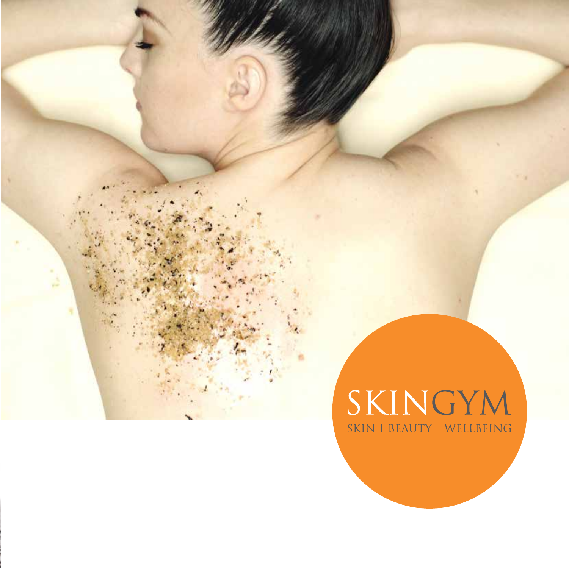# SKINGYM